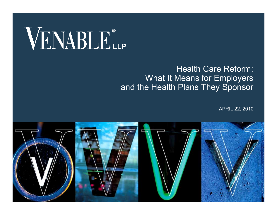# VENABLE®

#### Health Care Reform: What It Means for Employers and the Health Plans They Sponsor

APRIL 22, 2010

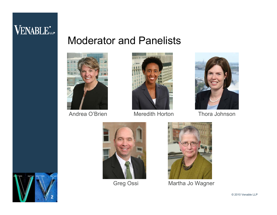### Moderator and Panelists





Andrea O'Brien Meredith Horton



Thora Johnson







Greg Ossi Martha Jo Wagner



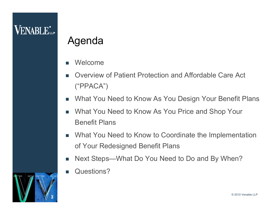# Agenda

- П Welcome
- П Overview of Patient Protection and Affordable Care Act ("PPACA")
- T. What You Need to Know As You Design Your Benefit Plans
- m. What You Need to Know As You Price and Shop Your Benefit Plans
- П What You Need to Know to Coordinate the Implementation of Your Redesigned Benefit Plans
- F. Next Steps—What Do You Need to Do and By When?
- П Questions?

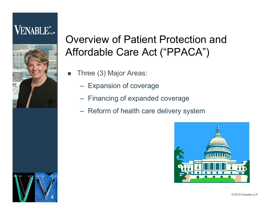# **VENABLE**



# Overview of Patient Protection and Affordable Care Act ("PPACA")

- П Three (3) Major Areas:
	- Expansion of coverage
	- Financing of expanded coverage
	- Reform of health care delivery system



4**4**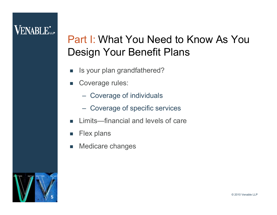# **VENABLE**\*

# Part I: What You Need to Know As You Design Your Benefit Plans

- П Is your plan grandfathered?
- $\mathcal{L}_{\mathcal{A}}$  Coverage rules:
	- Coverage of individuals
	- Coverage of specific services
- П Limits—financial and levels of care
- T. Flex plans
- П Medicare changes

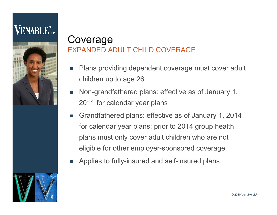



- П Plans providing dependent coverage must cover adult children up to age 26
- П Non-grandfathered plans: effective as of January 1, 2011 for calendar year plans
- $\mathcal{L}_{\mathcal{A}}$  Grandfathered plans: effective as of January 1, 2014 for calendar year plans; prior to 2014 group health plans must only cover adult children who are not eligible for other employer-sponsored coverage
- m. Applies to fully-insured and self-insured plans

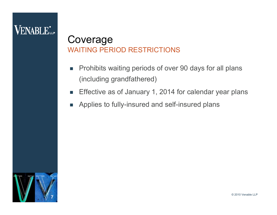#### Coverage WAITING PERIOD RESTRICTIONS

- $\overline{\phantom{a}}$  Prohibits waiting periods of over 90 days for all plans (including grandfathered)
- П Effective as of January 1, 2014 for calendar year plans
- $\sim$ Applies to fully-insured and self-insured plans

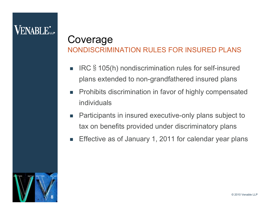#### Coverage NONDISCRIMINATION RULES FOR INSURED PLANS

- П IRC§105(h) nondiscrimination rules for self-insured plans extended to non-grandfathered insured plans
- П Prohibits discrimination in favor of highly compensated individuals
- П Participants in insured executive-only plans subject to tax on benefits provided under discriminatory plans
- П Effective as of January 1, 2011 for calendar year plans

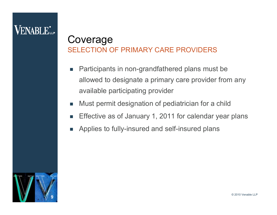# **VENABLE**\*

#### Coverage SELECTION OF PRIMARY CARE PROVIDERS

- П Participants in non-grandfathered plans must be allowed to designate a primary care provider from any available participating provider
- П Must permit designation of pediatrician for a child
- П Effective as of January 1, 2011 for calendar year plans
- П Applies to fully-insured and self-insured plans

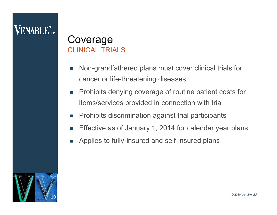# **VENABLE**\*

#### Coverage CLINICAL TRIALS

- П Non-grandfathered plans must cover clinical trials for cancer or life-threatening diseases
- П Prohibits denying coverage of routine patient costs for items/services provided in connection with trial
- П Prohibits discrimination against trial participants
- П Effective as of January 1, 2014 for calendar year plans
- П Applies to fully-insured and self-insured plans

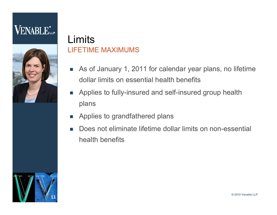# **VENABLE**L.



#### LimitsLIFETIME MAXIMUMS

- As of January 1, 2011 for calendar year plans, no lifetime dollar limits on essential health benefits
- **Applies to fully-insured and self-insured group health** plans
- $\mathcal{L}_{\mathcal{A}}$ Applies to grandfathered plans
- П Does not eliminate lifetime dollar limits on non-essential health benefits

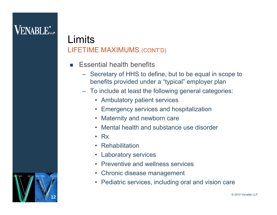12**12**

#### LimitsLIFETIME MAXIMUMS (CONT'D)

- П Essential health benefits
	- Secretary of HHS to define, but to be equal in scope to benefits provided under a "typical" employer plan
	- To include at least the following general categories:
		- Ambulatory patient services
		- Emergency services and hospitalization
		- Maternity and newborn care
		- Mental health and substance use disorder
		- Rx
		- Rehabilitation
		- Laboratory services
		- Preventive and wellness services
		- $\bullet$ Chronic disease management
		- Pediatric services, including oral and vision care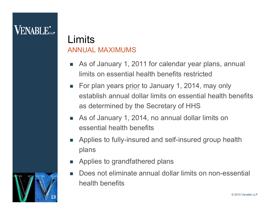#### LimitsANNUAL MAXIMUMS

- As of January 1, 2011 for calendar year plans, annual limits on essential health benefits restricted
- For plan years <u>prior</u> to January 1, 2014, may only establish annual dollar limits on essential health benefits as determined by the Secretary of HHS
- As of January 1, 2014, no annual dollar limits on essential health benefits
- П Applies to fully-insured and self-insured group health plans
- m. Applies to grandfathered plans
- П Does not eliminate annual dollar limits on non-essential health benefits

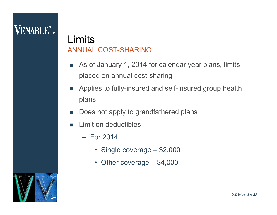#### LimitsANNUAL COST-SHARING

- $\mathcal{L}_{\mathcal{A}}$  As of January 1, 2014 for calendar year plans, limits placed on annual cost-sharing
- $\sim$  Applies to fully-insured and self-insured group health plans
- П Does not apply to grandfathered plans
- П Limit on deductibles
	- For 2014:
		- Single coverage \$2,000
		- Other coverage \$4,000

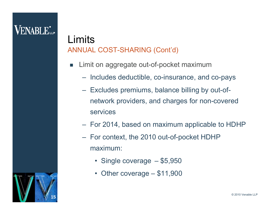#### LimitsANNUAL COST-SHARING (Cont'd)

- П Limit on aggregate out-of-pocket maximum
	- Includes deductible, co-insurance, and co-pays
	- Excludes premiums, balance billing by out-ofnetwork providers, and charges for non-covered services
	- For 2014, based on maximum applicable to HDHP
	- For context, the 2010 out-of-pocket HDHP maximum:
		- Single coverage \$5,950
		- Other coverage \$11,900

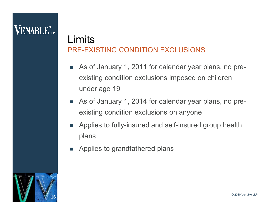#### LimitsPRE-EXISTING CONDITION EXCLUSIONS

- As of January 1, 2011 for calendar year plans, no preexisting condition exclusions imposed on children under age 19
- As of January 1, 2014 for calendar year plans, no preexisting condition exclusions on anyone
- П Applies to fully-insured and self-insured group health plans
- П Applies to grandfathered plans

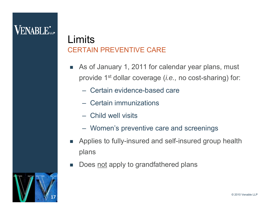#### LimitsCERTAIN PREVENTIVE CARE

- As of January 1, 2011 for calendar year plans, must provide 1st dollar coverage (*i.e.,* no cost-sharing) for:
	- Certain evidence-based care
	- Certain immunizations
	- Child well visits
	- Women's preventive care and screenings
- m. Applies to fully-insured and self-insured group health plans
- П Does not apply to grandfathered plans

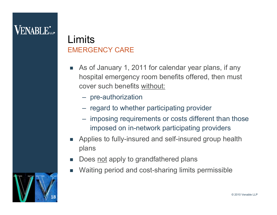#### LimitsEMERGENCY CARE

- П As of January 1, 2011 for calendar year plans, if any hospital emergency room benefits offered, then must cover such benefits without:
	- pre-authorization
	- regard to whether participating provider
	- imposing requirements or costs different than those imposed on in-network participating providers
- П Applies to fully-insured and self-insured group health plans
- П Does not apply to grandfathered plans
- П Waiting period and cost-sharing limits permissible

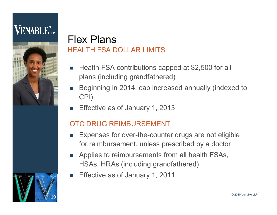# **VENABLE**



#### Flex PlansHEALTH FSA DOLLAR LIMITS

- П Health FSA contributions capped at \$2,500 for all plans (including grandfathered)
- П Beginning in 2014, cap increased annually (indexed to CPI)
- П Effective as of January 1, 2013

#### OTC DRUG REIMBURSEMENT

- П Expenses for over-the-counter drugs are not eligible for reimbursement, unless prescribed by a doctor
- Applies to reimbursements from all health FSAs, HSAs, HRAs (including grandfathered)
- m. Effective as of January 1, 2011

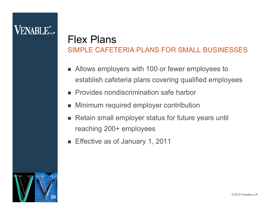# **VENABLE**\*

#### Flex PlansSIMPLE CAFETERIA PLANS FOR SMALL BUSINESSES

- П Allows employers with 100 or fewer employees to establish cafeteria plans covering qualified employees
- m. Provides nondiscrimination safe harbor
- m. Minimum required employer contribution
- m. Retain small employer status for future years until reaching 200+ employees
- Effective as of January 1, 2011

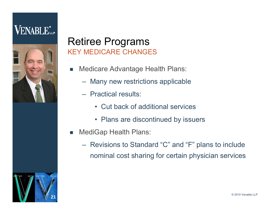

### Retiree Programs KEY MEDICARE CHANGES

- П Medicare Advantage Health Plans:
	- Many new restrictions applicable
	- Practical results:
		- Cut back of additional services
		- Plans are discontinued by issuers
- П MediGap Health Plans:
	- Revisions to Standard "C" and "F" plans to include nominal cost sharing for certain physician services

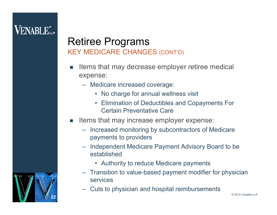### Retiree Programs KEY MEDICARE CHANGES (CONT'D)

- П Items that may decrease employer retiree medical expense:
	- Medicare increased coverage:
		- No charge for annual wellness visit
		- Elimination of Deductibles and Copayments For Certain Preventative Care
- П Items that may increase employer expense:
	- Increased monitoring by subcontractors of Medicare payments to providers
	- Independent Medicare Payment Advisory Board to be established
		- Authority to reduce Medicare payments
	- Transition to value-based payment modifier for physician services
	- Cuts to physician and hospital reimbursements

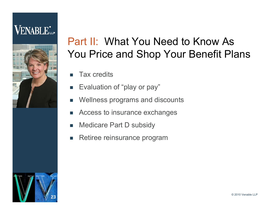# **VENABLE**L.



# Part II: What You Need to Know As You Price and Shop Your Benefit Plans

- П Tax credits
- $\mathcal{L}_{\mathcal{A}}$ Evaluation of "play or pay"
- П Wellness programs and discounts
- П Access to insurance exchanges
- П Medicare Part D subsidy
- П Retiree reinsurance program

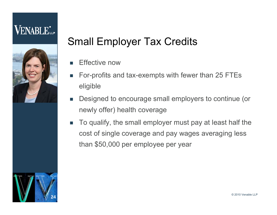# **VENABLE**



# Small Employer Tax Credits

- П Effective now
- П For-profits and tax-exempts with fewer than 25 FTEs eligible
- $\mathcal{L}_{\mathcal{A}}$  Designed to encourage small employers to continue (or newly offer) health coverage
- $\mathcal{L}_{\mathcal{A}}$  To qualify, the small employer must pay at least half the cost of single coverage and pay wages averaging less than \$50,000 per employee per year

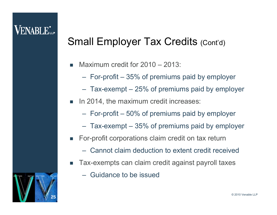# **VENABLE**

# Small Employer Tax Credits (Cont'd)

- П Maximum credit for 2010 – 2013:
	- For-profit 35% of premiums paid by employer
	- Tax-exempt 25% of premiums paid by employer
- In 2014, the maximum credit increases:
	- For-profit 50% of premiums paid by employer
	- Tax-exempt 35% of premiums paid by employer
- For-profit corporations claim credit on tax return
	- Cannot claim deduction to extent credit received
- П Tax-exempts can claim credit against payroll taxes
	- Guidance to be issued

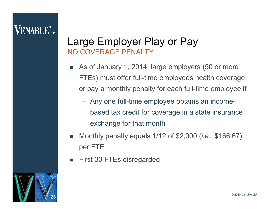#### Large Employer Play or Pay NO COVERAGE PENALTY

- П As of January 1, 2014, large employers (50 or more FTEs) must offer full-time employees health coverage <u>or</u> pay a monthly penalty for each full-time employee <u>if</u>
	- Any one full-time employee obtains an incomebased tax credit for coverage in a state insurance exchange for that month
- П Monthly penalty equals 1/12 of \$2,000 (*i.e.*, \$166.67) per FTE
- П First 30 FTEs disregarded

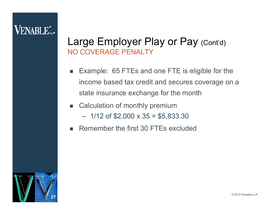# **VENABLE**\*

#### Large Employer Play or Pay (Cont'd) NO COVERAGE PENALTY

- П Example: 65 FTEs and one FTE is eligible for the income based tax credit and secures coverage on a state insurance exchange for the month
- Calculation of monthly premium  $-$  1/12 of \$2,000 x 35 = \$5,833.30
- m. Remember the first 30 FTEs excluded

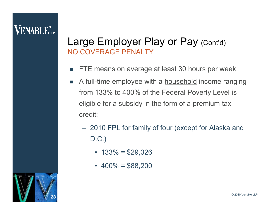#### Large Employer Play or Pay (Cont'd) NO COVERAGE PENALTY

- П FTE means on average at least 30 hours per week
- **The State**  A full-time employee with a household income ranging from 133% to 400% of the Federal Poverty Level is eligible for a subsidy in the form of a premium tax credit:
	- 2010 FPL for family of four (except for Alaska and D.C.)
		- 133% = \$29,326
		- $\cdot$  400% = \$88,200

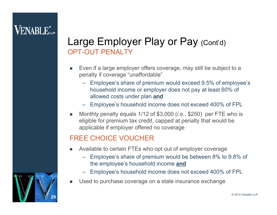### Large Employer Play or Pay (Cont'd) OPT-OUT PENALTY

- L Even if a large employer offers coverage, may still be subject to a penalty if coverage "unaffordable"
	- Employee's share of premium would exceed 9.5% of employee's household income or employer does not pay at least 60% of allowed costs under plan **and**
	- Employee's household income does not exceed 400% of FPL
- Monthly penalty equals 1/12 of \$3,000 (*i.e.*, \$250) per FTE who is eligible for premium tax credit, capped at penalty that would be applicable if employer offered no coverage

#### FREE CHOICE VOUCHER

- Available to certain FTEs who opt out of employer coverage
	- Employee's share of premium would be between 8% to 9.8% of the employee's household income **and**
	- Employee's household income does not exceed 400% of FPL
- L Used to purchase coverage on a state insurance exchange

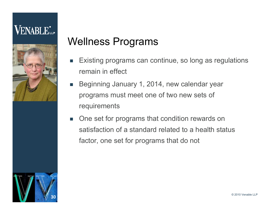

# Wellness Programs

- П Existing programs can continue, so long as regulations remain in effect
- m. Beginning January 1, 2014, new calendar year programs must meet one of two new sets of requirements
- П One set for programs that condition rewards on satisfaction of a standard related to a health status factor, one set for programs that do not

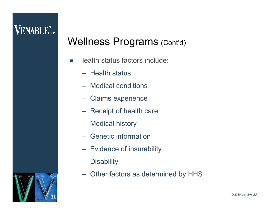- П Health status factors include:
	- Health status
	- Medical conditions
	- Claims experience
	- Receipt of health care
	- Medical history
	- Genetic information
	- Evidence of insurability
	- **Disability**
	- Other factors as determined by HHS

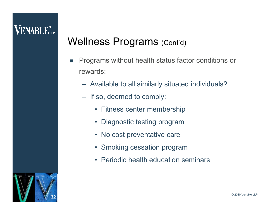# **VENABLE**\*

- П Programs without health status factor conditions or rewards:
	- Available to all similarly situated individuals?
	- If so, deemed to comply:
		- Fitness center membership
		- Diagnostic testing program
		- No cost preventative care
		- Smoking cessation program
		- Periodic health education seminars

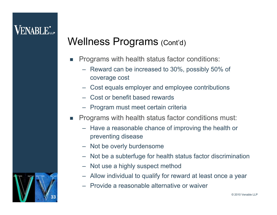- П Programs with health status factor conditions:
	- Reward can be increased to 30%, possibly 50% of coverage cost
	- Cost equals employer and employee contributions
	- Cost or benefit based rewards
	- Program must meet certain criteria
- Programs with health status factor conditions must:
	- Have a reasonable chance of improving the health or preventing disease
	- Not be overly burdensome
	- Not be a subterfuge for health status factor discrimination
	- Not use a highly suspect method
	- Allow individual to qualify for reward at least once a year
	- Provide a reasonable alternative or waiver

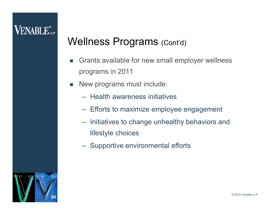- П Grants available for new small employer wellness programs in 2011
- New programs must include:
	- Health awareness initiatives
	- Efforts to maximize employee engagement
	- – Initiatives to change unhealthy behaviors and lifestyle choices
	- Supportive environmental efforts

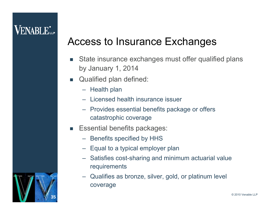# Access to Insurance Exchanges

- П State insurance exchanges must offer qualified plans by January 1, 2014
- **Qualified plan defined:** 
	- Health plan
	- Licensed health insurance issuer
	- Provides essential benefits package or offers catastrophic coverage
- $\blacksquare$  Essential benefits packages:
	- Benefits specified by HHS
	- Equal to a typical employer plan
	- Satisfies cost-sharing and minimum actuarial value requirements
	- Qualifies as bronze, silver, gold, or platinum level coverage

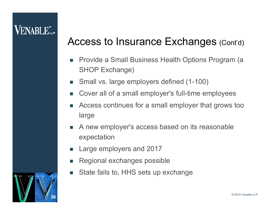# **VENABLE**

# Access to Insurance Exchanges (Cont'd)

- П Provide a Small Business Health Options Program (a SHOP Exchange)
- Small vs. large employers defined (1-100)
- П Cover all of a small employer's full-time employees
- m. Access continues for a small employer that grows too large
- A new employer's access based on its reasonable expectation
- m. Large employers and 2017
- П Regional exchanges possible
- П State fails to, HHS sets up exchange

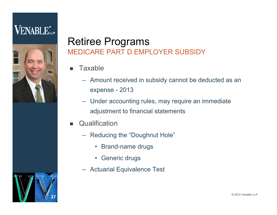

### Retiree Programs MEDICARE PART D EMPLOYER SUBSIDY

- П **Taxable** 
	- Amount received in subsidy cannot be deducted as an expense - 2013
	- Under accounting rules, may require an immediate adjustment to financial statements
- П **Qualification** 
	- Reducing the "Doughnut Hole"
		- Brand-name drugs
		- Generic drugs
	- Actuarial Equivalence Test

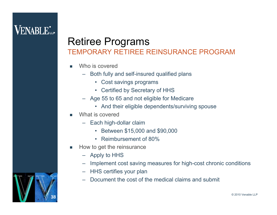# **VENABLE**\*

### Retiree Programs TEMPORARY RETIREE REINSURANCE PROGRAM

- L Who is covered
	- Both fully and self-insured qualified plans
		- Cost savings programs
		- Certified by Secretary of HHS
	- Age 55 to 65 and not eligible for Medicare
		- And their eligible dependents/surviving spouse
- L What is covered
	- Each high-dollar claim
		- Between \$15,000 and \$90,000
		- Reimbursement of 80%
- F How to get the reinsurance
	- Apply to HHS
	- Implement cost saving measures for high-cost chronic conditions
	- HHS certifies your plan
	- Document the cost of the medical claims and submit

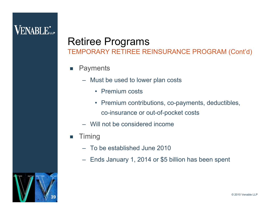# **VENABLE**\*

# Retiree Programs

TEMPORARY RETIREE REINSURANCE PROGRAM (Cont'd)

- П **Payments** 
	- Must be used to lower plan costs
		- Premium costs
		- Premium contributions, co-payments, deductibles, co-insurance or out-of-pocket costs
	- Will not be considered income
- T. Timing
	- To be established June 2010
	- –Ends January 1, 2014 or \$5 billion has been spent

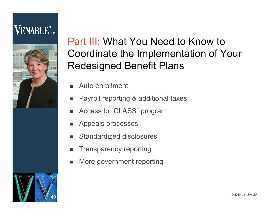# **VENABLE**L



Part III: What You Need to Know to Coordinate the Implementation of Your Redesigned Benefit Plans

- П Auto enrollment
- П Payroll reporting & additional taxes
- П Access to "CLASS" program
- П Appeals processes
- П Standardized disclosures
- П Transparency reporting
- П More government reporting

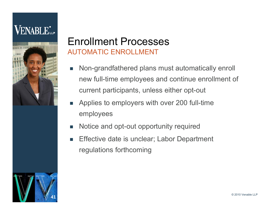

### Enrollment ProcessesAUTOMATIC ENROLLMENT

- П Non-grandfathered plans must automatically enroll new full-time employees and continue enrollment of current participants, unless either opt-out
- П Applies to employers with over 200 full-time employees
- П Notice and opt-out opportunity required
- П Effective date is unclear; Labor Department regulations forthcoming

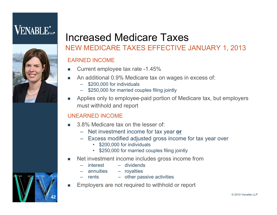

### Increased Medicare TaxesNEW MEDICARE TAXES EFFECTIVE JANUARY 1, 2013

#### EARNED INCOME

- L. Current employee tax rate -1.45%
- An additional 0.9% Medicare tax on wages in excess of:
	- \$200,000 for individuals
	- \$250,000 for married couples filing jointly
- Applies only to employee-paid portion of Medicare tax, but employers must withhold and report

#### UNEARNED INCOME

- 3.8% Medicare tax on the lesser of:
	- Net investment income for tax year **or**
	- – Excess modified adjusted gross income for tax year over
		- \$200,000 for individuals
		- \$250,000 for married couples filing jointly
- F Net investment income includes gross income from
	- interest dividends
		- annuities royalties
	- – $-$  other passive activities
- L. Employers are not required to withhold or report

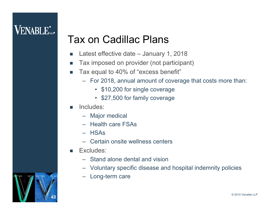# **VENABLE**\*

# Tax on Cadillac Plans

- $\mathcal{C}^{\mathcal{A}}$ Latest effective date – January 1, 2018
- m. Tax imposed on provider (not participant)
- П Tax equal to 40% of "excess benefit"
	- For 2018, annual amount of coverage that costs more than:
		- \$10,200 for single coverage
		- \$27,500 for family coverage
- П Includes:
	- Major medical
	- Health care FSAs
	- HSAs
	- Certain onsite wellness centers
- Excludes:
	- Stand alone dental and vision
	- Voluntary specific disease and hospital indemnity policies
	- Long-term care

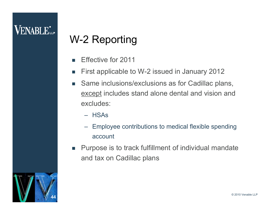# W-2 Reporting

- П Effective for 2011
- m, First applicable to W-2 issued in January 2012
- T. Same inclusions/exclusions as for Cadillac plans, except includes stand alone dental and vision and excludes:
	- HSAs
	- Employee contributions to medical flexible spending account
- $\mathcal{L}_{\mathcal{A}}$  Purpose is to track fulfillment of individual mandate and tax on Cadillac plans

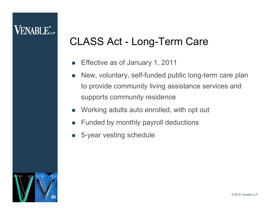# CLASS Act - Long-Term Care

- П Effective as of January 1, 2011
- $\mathbb{R}^n$  New, voluntary, self-funded public long-term care plan to provide community living assistance services and supports community residence
- $\mathcal{C}^{\mathcal{A}}$ Working adults auto enrolled, with opt out
- П Funded by monthly payroll deductions
- П 5-year vesting schedule

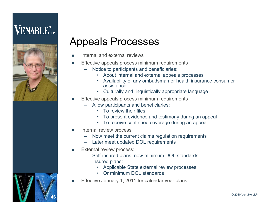# **VENABLE**\*



# Appeals Processes

- п Internal and external reviews
- п Effective appeals process minimum requirements
	- Notice to participants and beneficiaries:
		- About internal and external appeals processes
		- Availability of any ombudsman or health insurance consumer assistance
		- Culturally and linguistically appropriate language
- ▉ Effective appeals process minimum requirements
	- Allow participants and beneficiaries:
		- To review their files
		- To present evidence and testimony during an appeal
		- To receive continued coverage during an appeal
- П Internal review process:
	- Now meet the current claims regulation requirements
	- Later meet updated DOL requirements
- ▉ External review process:
	- Self-insured plans: new minimum DOL standards
	- Insured plans:
		- Applicable State external review processes
		- Or minimum DOL standards
- п Effective January 1, 2011 for calendar year plans

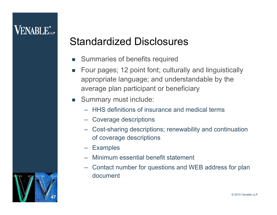# Standardized Disclosures

- F. Summaries of benefits required
- $\mathbb{R}^n$  Four pages; 12 point font; culturally and linguistically appropriate language; and understandable by the average plan participant or beneficiary
- $\overline{\phantom{a}}$  Summary must include:
	- HHS definitions of insurance and medical terms
	- Coverage descriptions
	- Cost-sharing descriptions; renewability and continuation of coverage descriptions
	- Examples
	- Minimum essential benefit statement
	- Contact number for questions and WEB address for plan document

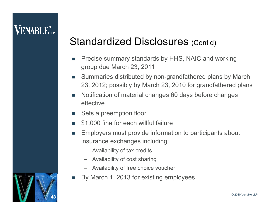# Standardized Disclosures (Cont'd)

- ш Precise summary standards by HHS, NAIC and working group due March 23, 2011
- $\mathcal{C}^{\mathcal{A}}$  Summaries distributed by non-grandfathered plans by March 23, 2012; possibly by March 23, 2010 for grandfathered plans
- П Notification of material changes 60 days before changes effective
- $\overline{\phantom{a}}$ Sets a preemption floor
- П \$1,000 fine for each willful failure
- T. Employers must provide information to participants about insurance exchanges including:
	- Availability of tax credits
	- Availability of cost sharing
	- Availability of free choice voucher
- П By March 1, 2013 for existing employees

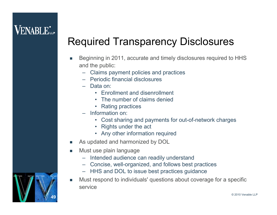# Required Transparency Disclosures

- F Beginning in 2011, accurate and timely disclosures required to HHS and the public:
	- –Claims payment policies and practices
	- Periodic financial disclosures
	- Data on:
		- Enrollment and disenrollment
		- The number of claims denied
		- Rating practices
	- Information on:
		- Cost sharing and payments for out-of-network charges
		- Rights under the act
		- Any other information required
- F As updated and harmonized by DOL
- $\mathcal{L}_{\mathcal{A}}$  Must use plain language
	- Intended audience can readily understand
	- Concise, well-organized, and follows best practices
	- HHS and DOL to issue best practices guidance
- L. Must respond to individuals' questions about coverage for a specific service

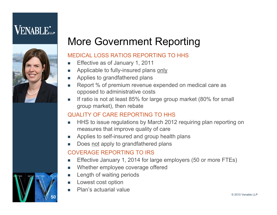

50**50**

# More Government Reporting

#### MEDICAL LOSS RATIOS REPORTING TO HHS

- $\sim$ Effective as of January 1, 2011
- T. Applicable to fully-insured plans only
- T. Applies to grandfathered plans
- $\overline{\phantom{a}}$  Report % of premium revenue expended on medical care as opposed to administrative costs
- $\overline{\phantom{a}}$  If ratio is not at least 85% for large group market (80% for small group market), then rebate

#### QUALITY OF CARE REPORTING TO HHS

- HHS to issue regulations by March 2012 requiring plan reporting on measures that improve quality of care
- Applies to self-insured and group health plans
- $\overline{\phantom{a}}$ Does not apply to grandfathered plans

#### COVERAGE REPORTING TO IRS

- F Effective January 1, 2014 for large employers (50 or more FTEs)
- F Whether employee coverage offered
- Length of waiting periods
- Lowest cost option
- F Plan's actuarial value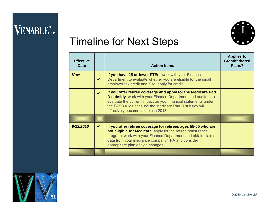

# Timeline for Next Steps

| <b>Effective</b><br><b>Date</b> |              | <b>Action Items</b>                                                                                                                                                                                                                                                                              | <b>Applies to</b><br><b>Grandfathered</b><br>Plans? |
|---------------------------------|--------------|--------------------------------------------------------------------------------------------------------------------------------------------------------------------------------------------------------------------------------------------------------------------------------------------------|-----------------------------------------------------|
| <b>Now</b>                      | $\checkmark$ | If you have 25 or fewer FTEs, work with your Finance<br>Department to evaluate whether you are eligible for the small<br>employer tax credit and if so, apply for credit                                                                                                                         |                                                     |
|                                 | $\checkmark$ | If you offer retiree coverage and apply for the Medicare Part<br>D subsidy, work with your Finance Department and auditors to<br>evaluate the current impact on your financial statements under<br>the FASB rules because the Medicare Part D subsidy will<br>effectively become taxable in 2013 |                                                     |
|                                 |              |                                                                                                                                                                                                                                                                                                  |                                                     |
| 6/23/2010                       | $\checkmark$ | If you offer retiree coverage for retirees ages 55-65 who are<br>not eligible for Medicare, apply for the retiree reinsurance<br>program, work with your Finance Department and obtain claims<br>data from your insurance company/TPA and consider<br>appropriate plan design changes            |                                                     |
|                                 |              |                                                                                                                                                                                                                                                                                                  |                                                     |

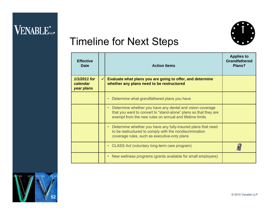

# Timeline for Next Steps

| <b>Effective</b><br>Date               |              | <b>Action Items</b>                                                                                                                                                                      | <b>Applies to</b><br><b>Grandfathered</b><br>Plans? |
|----------------------------------------|--------------|------------------------------------------------------------------------------------------------------------------------------------------------------------------------------------------|-----------------------------------------------------|
| 1/1/2011 for<br>calendar<br>year plans | $\checkmark$ | Evaluate what plans you are going to offer, and determine<br>whether any plans need to be restructured                                                                                   |                                                     |
|                                        |              | Determine what grandfathered plans you have                                                                                                                                              |                                                     |
|                                        |              | Determine whether you have any dental and vision coverage<br>that you want to convert to "stand-alone" plans so that they are<br>exempt from the new rules on annual and lifetime limits |                                                     |
|                                        |              | Determine whether you have any fully-insured plans that need<br>to be restructured to comply with the nondiscrimination<br>coverage rules, such as executive-only plans                  |                                                     |
|                                        |              | • CLASS Act (voluntary long-term care program)                                                                                                                                           |                                                     |
|                                        |              | New wellness programs (grants available for small employers)<br>$\bullet$ .                                                                                                              |                                                     |

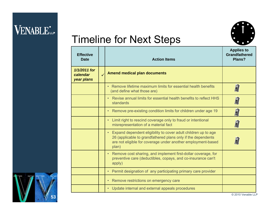

# Timeline for Next Steps

| <b>Effective</b><br><b>Date</b>        | <b>Action Items</b>                                                                                                                                                                                                  | <b>Applies to</b><br><b>Grandfathered</b><br>Plans? |
|----------------------------------------|----------------------------------------------------------------------------------------------------------------------------------------------------------------------------------------------------------------------|-----------------------------------------------------|
| 1/1/2011 for<br>calendar<br>year plans | <b>Amend medical plan documents</b>                                                                                                                                                                                  |                                                     |
|                                        | • Remove lifetime maximum limits for essential health benefits<br>(and define what those are)                                                                                                                        |                                                     |
|                                        | • Revise annual limits for essential health benefits to reflect HHS<br>standards                                                                                                                                     | F)                                                  |
|                                        | • Remove pre-existing condition limits for children under age 19                                                                                                                                                     | D                                                   |
|                                        | Limit right to rescind coverage only to fraud or intentional<br>$\bullet$<br>misrepresentation of a material fact                                                                                                    | D                                                   |
|                                        | Expand dependent eligibility to cover adult children up to age<br>$\bullet$<br>26 (applicable to grandfathered plans only if the dependents<br>are not eligible for coverage under another employment-based<br>plan) |                                                     |
|                                        | • Remove cost sharing, and implement first-dollar coverage, for<br>preventive care (deductibles, copays, and co-insurance can't<br>apply)                                                                            |                                                     |
|                                        | Permit designation of any participating primary care provider<br>$\bullet$                                                                                                                                           |                                                     |
|                                        | Remove restrictions on emergency care<br>$\bullet$                                                                                                                                                                   |                                                     |
|                                        | • Update internal and external appeals procedures                                                                                                                                                                    |                                                     |

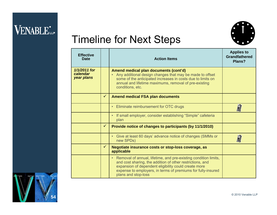

# Timeline for Next Steps

| <b>Effective</b><br><b>Date</b>        |              | <b>Action Items</b>                                                                                                                                                                                                                                                                      | <b>Applies to</b><br><b>Grandfathered</b><br>Plans? |
|----------------------------------------|--------------|------------------------------------------------------------------------------------------------------------------------------------------------------------------------------------------------------------------------------------------------------------------------------------------|-----------------------------------------------------|
| 1/1/2011 for<br>calendar<br>year plans |              | Amend medical plan documents (cont'd)<br>Any additional design changes that may be made to offset<br>some of the anticipated increases in costs due to limits on<br>annual and lifetime maximums, removal of pre-existing<br>conditions, etc.                                            |                                                     |
|                                        | $\checkmark$ | <b>Amend medical FSA plan documents</b>                                                                                                                                                                                                                                                  |                                                     |
|                                        |              | Eliminate reimbursement for OTC drugs<br>$\bullet$                                                                                                                                                                                                                                       |                                                     |
|                                        |              | If small employer, consider establishing "Simple" cafeteria<br>$\bullet$<br>plan                                                                                                                                                                                                         |                                                     |
|                                        | $\checkmark$ | Provide notice of changes to participants (by 11/1/2010)                                                                                                                                                                                                                                 |                                                     |
|                                        |              | Give at least 60 days' advance notice of changes (SMMs or<br>$\bullet$<br>new SPDs)                                                                                                                                                                                                      |                                                     |
|                                        | $\checkmark$ | Negotiate insurance costs or stop-loss coverage, as<br>applicable                                                                                                                                                                                                                        |                                                     |
|                                        |              | Removal of annual, lifetime, and pre-existing condition limits,<br>$\bullet$<br>and cost sharing, the addition of other restrictions, and<br>expansion of dependent eligibility could create more<br>expense to employers, in terms of premiums for fully-insured<br>plans and stop-loss |                                                     |

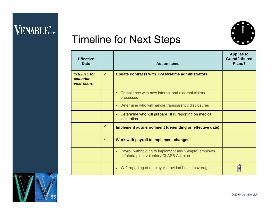

# Timeline for Next Steps

| <b>Effective</b><br><b>Date</b>        |              | <b>Action Items</b>                                                                                  | <b>Applies to</b><br><b>Grandfathered</b><br>Plans? |
|----------------------------------------|--------------|------------------------------------------------------------------------------------------------------|-----------------------------------------------------|
| 1/1/2011 for<br>calendar<br>year plans | $\checkmark$ | <b>Update contracts with TPAs/claims administrators</b>                                              |                                                     |
|                                        |              | Compliance with new internal and external claims<br>processes                                        |                                                     |
|                                        |              | Determine who will handle transparency disclosures                                                   |                                                     |
|                                        |              | Determine who will prepare HHS reporting on medical<br>loss ratios                                   |                                                     |
|                                        | $\checkmark$ | Implement auto enrollment (depending on effective date)                                              |                                                     |
|                                        | $\checkmark$ | Work with payroll to implement changes                                                               |                                                     |
|                                        |              | • Payroll withholding to implement any "Simple" employer<br>cafeteria plan; voluntary CLASS Act plan |                                                     |
|                                        |              | • W-2 reporting of employer-provided health coverage                                                 |                                                     |

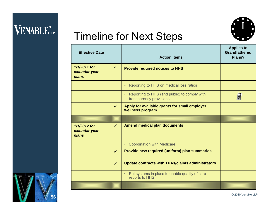

# Timeline for Next Steps

| <b>Effective Date</b>                  |              | <b>Action Items</b>                                                                  | <b>Applies to</b><br><b>Grandfathered</b><br>Plans? |
|----------------------------------------|--------------|--------------------------------------------------------------------------------------|-----------------------------------------------------|
| 1/1/2011 for<br>calendar year<br>plans | $\checkmark$ | <b>Provide required notices to HHS</b>                                               |                                                     |
|                                        |              | Reporting to HHS on medical loss ratios<br>$\bullet$                                 |                                                     |
|                                        |              | Reporting to HHS (and public) to comply with<br>$\bullet$<br>transparency provisions |                                                     |
|                                        | $\checkmark$ | Apply for available grants for small employer<br>wellness program                    |                                                     |
|                                        |              |                                                                                      |                                                     |
| 1/1/2012 for<br>calendar year<br>plans | $\checkmark$ | <b>Amend medical plan documents</b>                                                  |                                                     |
|                                        |              | <b>Coordination with Medicare</b><br>$\bullet$                                       |                                                     |
|                                        | $\checkmark$ | Provide new required (uniform) plan summaries                                        |                                                     |
|                                        | $\checkmark$ | <b>Update contracts with TPAs/claims administrators</b>                              |                                                     |
|                                        |              | Put systems in place to enable quality of care<br>$\bullet$<br>reports to HHS        |                                                     |
|                                        |              |                                                                                      |                                                     |

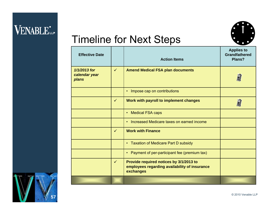

# Timeline for Next Steps

| <b>Effective Date</b>                  |              | <b>Action Items</b>                                                                                   | <b>Applies to</b><br><b>Grandfathered</b><br>Plans? |
|----------------------------------------|--------------|-------------------------------------------------------------------------------------------------------|-----------------------------------------------------|
| 1/1/2013 for<br>calendar year<br>plans | $\checkmark$ | <b>Amend Medical FSA plan documents</b>                                                               |                                                     |
|                                        |              | Impose cap on contributions<br>$\bullet$                                                              |                                                     |
|                                        | $\checkmark$ | Work with payroll to implement changes                                                                |                                                     |
|                                        |              | <b>Medical FSA caps</b><br>$\bullet$                                                                  |                                                     |
|                                        |              | Increased Medicare taxes on earned income<br>$\bullet$                                                |                                                     |
|                                        | $\checkmark$ | <b>Work with Finance</b>                                                                              |                                                     |
|                                        |              | • Taxation of Medicare Part D subsidy                                                                 |                                                     |
|                                        |              | • Payment of per-participant fee (premium tax)                                                        |                                                     |
|                                        | $\checkmark$ | Provide required notices by 3/1/2013 to<br>employees regarding availability of insurance<br>exchanges |                                                     |
|                                        |              |                                                                                                       |                                                     |

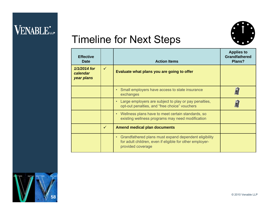

# Timeline for Next Steps

| <b>Effective</b><br>Date               |              | <b>Action Items</b>                                                                                                                    | <b>Applies to</b><br><b>Grandfathered</b><br>Plans? |
|----------------------------------------|--------------|----------------------------------------------------------------------------------------------------------------------------------------|-----------------------------------------------------|
| 1/1/2014 for<br>calendar<br>year plans | $\checkmark$ | Evaluate what plans you are going to offer                                                                                             |                                                     |
|                                        |              | Small employers have access to state insurance<br>exchanges                                                                            |                                                     |
|                                        |              | Large employers are subject to play or pay penalties,<br>opt-out penalties, and "free choice" vouchers                                 |                                                     |
|                                        |              | Wellness plans have to meet certain standards, so<br>existing wellness programs may need modification                                  |                                                     |
|                                        | $\checkmark$ | <b>Amend medical plan documents</b>                                                                                                    |                                                     |
|                                        |              | Grandfathered plans must expand dependent eligibility<br>for adult children, even if eligible for other employer-<br>provided coverage |                                                     |

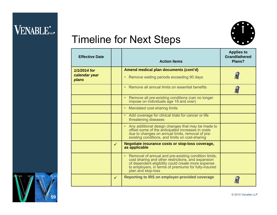

# Timeline for Next Steps

| <b>Effective Date</b>                    |              | <b>Action Items</b>                                                                                                                                                                                                                              | <b>Applies to</b><br><b>Grandfathered</b><br>Plans? |
|------------------------------------------|--------------|--------------------------------------------------------------------------------------------------------------------------------------------------------------------------------------------------------------------------------------------------|-----------------------------------------------------|
| $1/1/2014$ for<br>calendar year<br>plans |              | Amend medical plan documents (cont'd)<br>Remove waiting periods exceeding 90 days<br>$\bullet$                                                                                                                                                   |                                                     |
|                                          |              | • Remove all annual limits on essential benefits                                                                                                                                                                                                 |                                                     |
|                                          |              | Remove all pre-existing conditions (can no longer impose on individuals age 19 and over)<br>$\bullet$                                                                                                                                            |                                                     |
|                                          |              | • Mandated cost-sharing limits                                                                                                                                                                                                                   |                                                     |
|                                          |              | • Add coverage for clinical trials for cancer or life<br>threatening diseases                                                                                                                                                                    |                                                     |
|                                          |              | • Any additional design changes that may be made to<br>offset some of the anticipated increases in costs<br>due to changes on annual limits, removal of pre-<br>existing conditions, and limits on cost-sharing                                  |                                                     |
|                                          | $\checkmark$ | Negotiate insurance costs or stop-loss coverage,<br>as applicable                                                                                                                                                                                |                                                     |
|                                          |              | • Removal of annual and pre-existing condition limits,<br>cost sharing and other restrictions, and expansion<br>of dependent eligibility could create more expense<br>to employers, in terms of premiums for fully-insured<br>plan and stop-loss |                                                     |
|                                          | $\checkmark$ | <b>Reporting to IRS on employer-provided coverage</b>                                                                                                                                                                                            |                                                     |

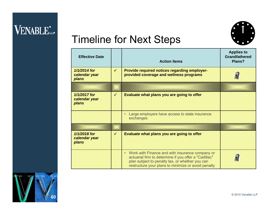

# Timeline for Next Steps

| <b>Effective Date</b>                    |              | <b>Action Items</b>                                                                                                                                                                                                             | <b>Applies to</b><br><b>Grandfathered</b><br>Plans? |
|------------------------------------------|--------------|---------------------------------------------------------------------------------------------------------------------------------------------------------------------------------------------------------------------------------|-----------------------------------------------------|
| 1/1/2014 for<br>calendar year<br>plans   | $\checkmark$ | Provide required notices regarding employer-<br>provided coverage and wellness programs                                                                                                                                         |                                                     |
|                                          |              |                                                                                                                                                                                                                                 |                                                     |
| $1/1/2017$ for<br>calendar year<br>plans | $\checkmark$ | Evaluate what plans you are going to offer                                                                                                                                                                                      |                                                     |
|                                          |              | Large employers have access to state insurance<br>$\bullet$<br>exchanges                                                                                                                                                        |                                                     |
|                                          |              |                                                                                                                                                                                                                                 |                                                     |
| 1/1/2018 for<br>calendar year<br>plans   | $\checkmark$ | Evaluate what plans you are going to offer                                                                                                                                                                                      |                                                     |
|                                          |              | Work with Finance and with insurance company or<br>$\bullet$<br>actuarial firm to determine if you offer a "Cadillac"<br>plan subject to penalty tax, or whether you can<br>restructure your plans to minimize or avoid penalty |                                                     |